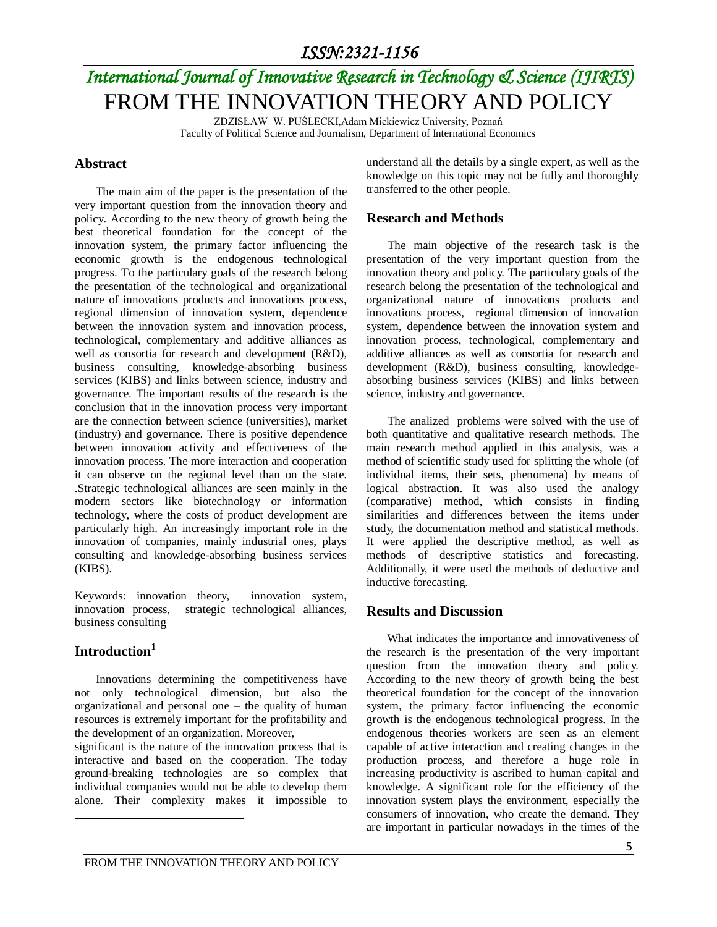# *International Journal of Innovative Research in Technology & Science (IJIRTS)* FROM THE INNOVATION THEORY AND POLICY

ZDZISŁAW W. PUŚLECKI,Adam Mickiewicz University, Poznań Faculty of Political Science and Journalism, Department of International Economics

#### **Abstract**

The main aim of the paper is the presentation of the very important question from the innovation theory and policy. According to the new theory of growth being the best theoretical foundation for the concept of the innovation system, the primary factor influencing the economic growth is the endogenous technological progress. To the particulary goals of the research belong the presentation of the technological and organizational nature of innovations products and innovations process, regional dimension of innovation system, dependence between the innovation system and innovation process, technological, complementary and additive alliances as well as consortia for research and development (R&D), business consulting, knowledge-absorbing business services (KIBS) and links between science, industry and governance. The important results of the research is the conclusion that in the innovation process very important are the connection between science (universities), market (industry) and governance. There is positive dependence between innovation activity and effectiveness of the innovation process. The more interaction and cooperation it can observe on the regional level than on the state. .Strategic technological alliances are seen mainly in the modern sectors like biotechnology or information technology, where the costs of product development are particularly high. An increasingly important role in the innovation of companies, mainly industrial ones, plays consulting and knowledge-absorbing business services (KIBS).

Keywords: innovation theory, innovation system, innovation process, strategic technological alliances, business consulting

### **Introduction<sup>1</sup>**

 $\overline{\phantom{a}}$ 

Innovations determining the competitiveness have not only technological dimension, but also the organizational and personal one – the quality of human resources is extremely important for the profitability and the development of an organization. Moreover,

significant is the nature of the innovation process that is interactive and based on the cooperation. The today ground-breaking technologies are so complex that individual companies would not be able to develop them alone. Their complexity makes it impossible to understand all the details by a single expert, as well as the knowledge on this topic may not be fully and thoroughly transferred to the other people.

#### **Research and Methods**

The main objective of the research task is the presentation of the very important question from the innovation theory and policy. The particulary goals of the research belong the presentation of the technological and organizational nature of innovations products and innovations process, regional dimension of innovation system, dependence between the innovation system and innovation process, technological, complementary and additive alliances as well as consortia for research and development (R&D), business consulting, knowledgeabsorbing business services (KIBS) and links between science, industry and governance.

The analized problems were solved with the use of both quantitative and qualitative research methods. The main research method applied in this analysis, was a method of scientific study used for splitting the whole (of individual items, their sets, phenomena) by means of logical abstraction. It was also used the analogy (comparative) method, which consists in finding similarities and differences between the items under study, the documentation method and statistical methods. It were applied the descriptive method, as well as methods of descriptive statistics and forecasting. Additionally, it were used the methods of deductive and inductive forecasting.

#### **Results and Discussion**

 What indicates the importance and innovativeness of the research is the presentation of the very important question from the innovation theory and policy. According to the new theory of growth being the best theoretical foundation for the concept of the innovation system, the primary factor influencing the economic growth is the endogenous technological progress. In the endogenous theories workers are seen as an element capable of active interaction and creating changes in the production process, and therefore a huge role in increasing productivity is ascribed to human capital and knowledge. A significant role for the efficiency of the innovation system plays the environment, especially the consumers of innovation, who create the demand. They are important in particular nowadays in the times of the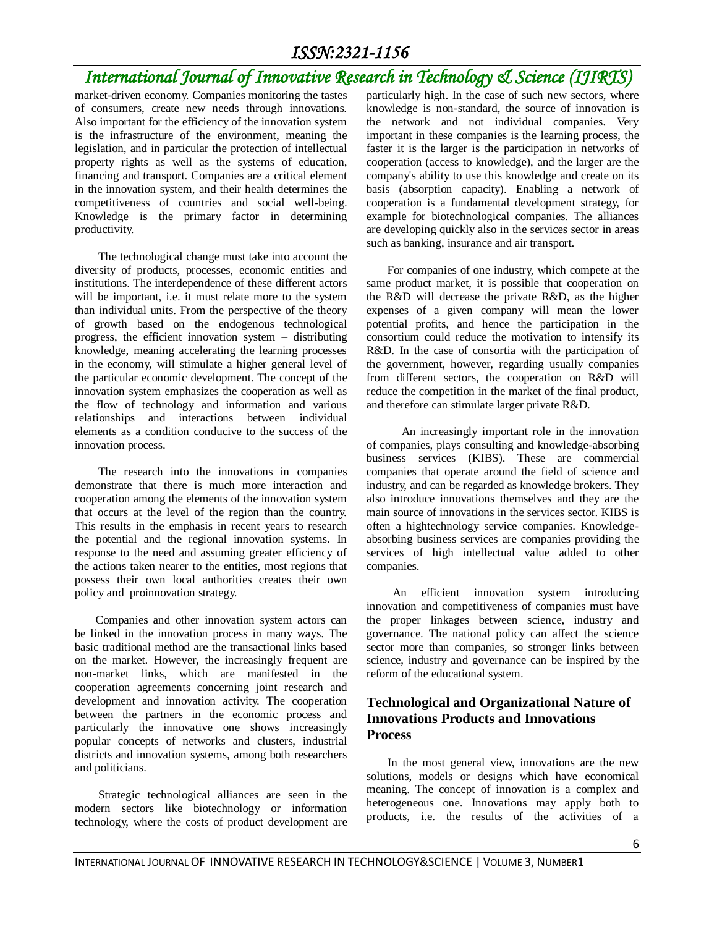# *International Journal of Innovative Research in Technology & Science (IJIRTS)*

market-driven economy. Companies monitoring the tastes of consumers, create new needs through innovations. Also important for the efficiency of the innovation system is the infrastructure of the environment, meaning the legislation, and in particular the protection of intellectual property rights as well as the systems of education, financing and transport. Companies are a critical element in the innovation system, and their health determines the competitiveness of countries and social well-being. Knowledge is the primary factor in determining productivity.

 The technological change must take into account the diversity of products, processes, economic entities and institutions. The interdependence of these different actors will be important, i.e. it must relate more to the system than individual units. From the perspective of the theory of growth based on the endogenous technological progress, the efficient innovation system – distributing knowledge, meaning accelerating the learning processes in the economy, will stimulate a higher general level of the particular economic development. The concept of the innovation system emphasizes the cooperation as well as the flow of technology and information and various relationships and interactions between individual elements as a condition conducive to the success of the innovation process.

The research into the innovations in companies demonstrate that there is much more interaction and cooperation among the elements of the innovation system that occurs at the level of the region than the country. This results in the emphasis in recent years to research the potential and the regional innovation systems. In response to the need and assuming greater efficiency of the actions taken nearer to the entities, most regions that possess their own local authorities creates their own policy and proinnovation strategy.

 Companies and other innovation system actors can be linked in the innovation process in many ways. The basic traditional method are the transactional links based on the market. However, the increasingly frequent are non-market links, which are manifested in the cooperation agreements concerning joint research and development and innovation activity. The cooperation between the partners in the economic process and particularly the innovative one shows increasingly popular concepts of networks and clusters, industrial districts and innovation systems, among both researchers and politicians.

 Strategic technological alliances are seen in the modern sectors like biotechnology or information technology, where the costs of product development are particularly high. In the case of such new sectors, where knowledge is non-standard, the source of innovation is the network and not individual companies. Very important in these companies is the learning process, the faster it is the larger is the participation in networks of cooperation (access to knowledge), and the larger are the company's ability to use this knowledge and create on its basis (absorption capacity). Enabling a network of cooperation is a fundamental development strategy, for example for biotechnological companies. The alliances are developing quickly also in the services sector in areas such as banking, insurance and air transport.

 For companies of one industry, which compete at the same product market, it is possible that cooperation on the R&D will decrease the private R&D, as the higher expenses of a given company will mean the lower potential profits, and hence the participation in the consortium could reduce the motivation to intensify its R&D. In the case of consortia with the participation of the government, however, regarding usually companies from different sectors, the cooperation on R&D will reduce the competition in the market of the final product, and therefore can stimulate larger private R&D.

 An increasingly important role in the innovation of companies, plays consulting and knowledge-absorbing business services (KIBS). These are commercial companies that operate around the field of science and industry, and can be regarded as knowledge brokers. They also introduce innovations themselves and they are the main source of innovations in the services sector. KIBS is often a hightechnology service companies. Knowledgeabsorbing business services are companies providing the services of high intellectual value added to other companies.

 An efficient innovation system introducing innovation and competitiveness of companies must have the proper linkages between science, industry and governance. The national policy can affect the science sector more than companies, so stronger links between science, industry and governance can be inspired by the reform of the educational system.

### **Technological and Organizational Nature of Innovations Products and Innovations Process**

In the most general view, innovations are the new solutions, models or designs which have economical meaning. The concept of innovation is a complex and heterogeneous one. Innovations may apply both to products, i.e. the results of the activities of a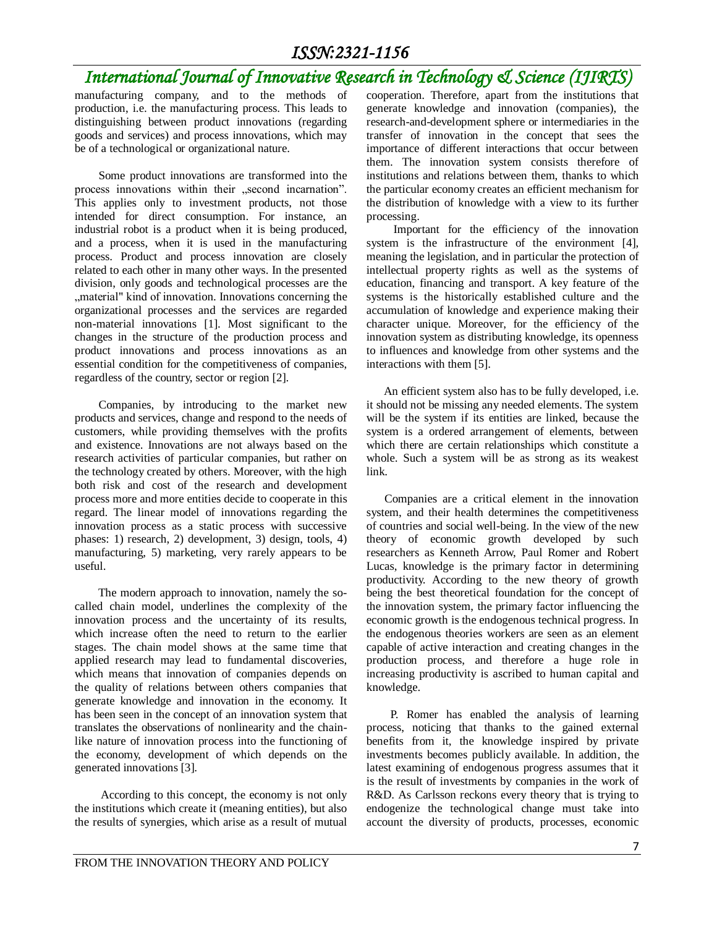## *International Journal of Innovative Research in Technology & Science (IJIRTS)*

manufacturing company, and to the methods of production, i.e. the manufacturing process. This leads to distinguishing between product innovations (regarding goods and services) and process innovations, which may be of a technological or organizational nature.

 Some product innovations are transformed into the process innovations within their "second incarnation". This applies only to investment products, not those intended for direct consumption. For instance, an industrial robot is a product when it is being produced, and a process, when it is used in the manufacturing process. Product and process innovation are closely related to each other in many other ways. In the presented division, only goods and technological processes are the ", material" kind of innovation. Innovations concerning the organizational processes and the services are regarded non-material innovations [1]. Most significant to the changes in the structure of the production process and product innovations and process innovations as an essential condition for the competitiveness of companies, regardless of the country, sector or region [2].

 Companies, by introducing to the market new products and services, change and respond to the needs of customers, while providing themselves with the profits and existence. Innovations are not always based on the research activities of particular companies, but rather on the technology created by others. Moreover, with the high both risk and cost of the research and development process more and more entities decide to cooperate in this regard. The linear model of innovations regarding the innovation process as a static process with successive phases: 1) research, 2) development, 3) design, tools, 4) manufacturing, 5) marketing, very rarely appears to be useful.

 The modern approach to innovation, namely the socalled chain model, underlines the complexity of the innovation process and the uncertainty of its results, which increase often the need to return to the earlier stages. The chain model shows at the same time that applied research may lead to fundamental discoveries, which means that innovation of companies depends on the quality of relations between others companies that generate knowledge and innovation in the economy. It has been seen in the concept of an innovation system that translates the observations of nonlinearity and the chainlike nature of innovation process into the functioning of the economy, development of which depends on the generated innovations [3].

 According to this concept, the economy is not only the institutions which create it (meaning entities), but also the results of synergies, which arise as a result of mutual cooperation. Therefore, apart from the institutions that generate knowledge and innovation (companies), the research-and-development sphere or intermediaries in the transfer of innovation in the concept that sees the importance of different interactions that occur between them. The innovation system consists therefore of institutions and relations between them, thanks to which the particular economy creates an efficient mechanism for the distribution of knowledge with a view to its further processing.

 Important for the efficiency of the innovation system is the infrastructure of the environment [4], meaning the legislation, and in particular the protection of intellectual property rights as well as the systems of education, financing and transport. A key feature of the systems is the historically established culture and the accumulation of knowledge and experience making their character unique. Moreover, for the efficiency of the innovation system as distributing knowledge, its openness to influences and knowledge from other systems and the interactions with them [5].

An efficient system also has to be fully developed, i.e. it should not be missing any needed elements. The system will be the system if its entities are linked, because the system is a ordered arrangement of elements, between which there are certain relationships which constitute a whole. Such a system will be as strong as its weakest link.

Companies are a critical element in the innovation system, and their health determines the competitiveness of countries and social well-being. In the view of the new theory of economic growth developed by such researchers as Kenneth Arrow, Paul Romer and Robert Lucas, knowledge is the primary factor in determining productivity. According to the new theory of growth being the best theoretical foundation for the concept of the innovation system, the primary factor influencing the economic growth is the endogenous technical progress. In the endogenous theories workers are seen as an element capable of active interaction and creating changes in the production process, and therefore a huge role in increasing productivity is ascribed to human capital and knowledge.

 P. Romer has enabled the analysis of learning process, noticing that thanks to the gained external benefits from it, the knowledge inspired by private investments becomes publicly available. In addition, the latest examining of endogenous progress assumes that it is the result of investments by companies in the work of R&D. As Carlsson reckons every theory that is trying to endogenize the technological change must take into account the diversity of products, processes, economic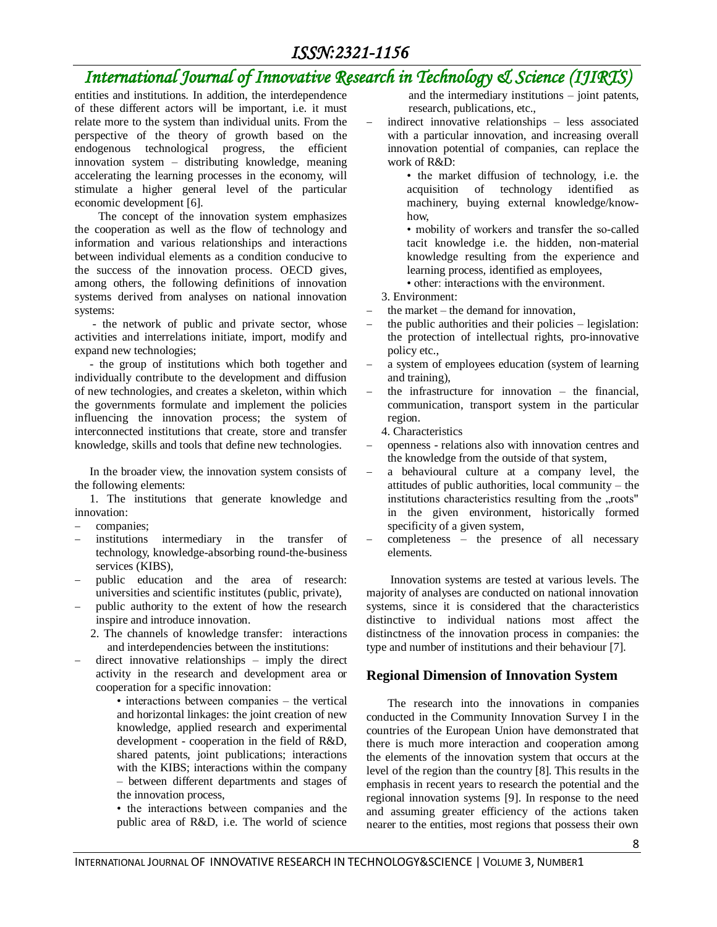# *International Journal of Innovative Research in Technology & Science (IJIRTS)*

entities and institutions. In addition, the interdependence of these different actors will be important, i.e. it must relate more to the system than individual units. From the perspective of the theory of growth based on the endogenous technological progress, the efficient innovation system – distributing knowledge, meaning accelerating the learning processes in the economy, will stimulate a higher general level of the particular economic development [6].

 The concept of the innovation system emphasizes the cooperation as well as the flow of technology and information and various relationships and interactions between individual elements as a condition conducive to the success of the innovation process. OECD gives, among others, the following definitions of innovation systems derived from analyses on national innovation systems:

 - the network of public and private sector, whose activities and interrelations initiate, import, modify and expand new technologies;

- the group of institutions which both together and individually contribute to the development and diffusion of new technologies, and creates a skeleton, within which the governments formulate and implement the policies influencing the innovation process; the system of interconnected institutions that create, store and transfer knowledge, skills and tools that define new technologies.

In the broader view, the innovation system consists of the following elements:

1. The institutions that generate knowledge and innovation:

- companies;
- institutions intermediary in the transfer of technology, knowledge-absorbing round-the-business services (KIBS),
- public education and the area of research: universities and scientific institutes (public, private),
- public authority to the extent of how the research inspire and introduce innovation.
	- 2. The channels of knowledge transfer: interactions and interdependencies between the institutions:
- direct innovative relationships imply the direct activity in the research and development area or cooperation for a specific innovation:

• interactions between companies – the vertical and horizontal linkages: the joint creation of new knowledge, applied research and experimental development - cooperation in the field of R&D, shared patents, joint publications; interactions with the KIBS; interactions within the company – between different departments and stages of the innovation process,

• the interactions between companies and the public area of R&D, i.e. The world of science and the intermediary institutions – joint patents, research, publications, etc.,

 indirect innovative relationships – less associated with a particular innovation, and increasing overall innovation potential of companies, can replace the work of R&D:

• the market diffusion of technology, i.e. the acquisition of technology identified as machinery, buying external knowledge/knowhow,

• mobility of workers and transfer the so-called tacit knowledge i.e. the hidden, non-material knowledge resulting from the experience and learning process, identified as employees,

- other: interactions with the environment.
- 3. Environment:
- the market the demand for innovation,
- the public authorities and their policies legislation: the protection of intellectual rights, pro-innovative policy etc.,
- a system of employees education (system of learning and training),
- $-$  the infrastructure for innovation  $-$  the financial, communication, transport system in the particular region.

4. Characteristics

- openness relations also with innovation centres and the knowledge from the outside of that system,
- a behavioural culture at a company level, the attitudes of public authorities, local community – the institutions characteristics resulting from the "roots" in the given environment, historically formed specificity of a given system,
- completeness the presence of all necessary elements.

 Innovation systems are tested at various levels. The majority of analyses are conducted on national innovation systems, since it is considered that the characteristics distinctive to individual nations most affect the distinctness of the innovation process in companies: the type and number of institutions and their behaviour [7].

### **Regional Dimension of Innovation System**

The research into the innovations in companies conducted in the Community Innovation Survey I in the countries of the European Union have demonstrated that there is much more interaction and cooperation among the elements of the innovation system that occurs at the level of the region than the country [8]. This results in the emphasis in recent years to research the potential and the regional innovation systems [9]. In response to the need and assuming greater efficiency of the actions taken nearer to the entities, most regions that possess their own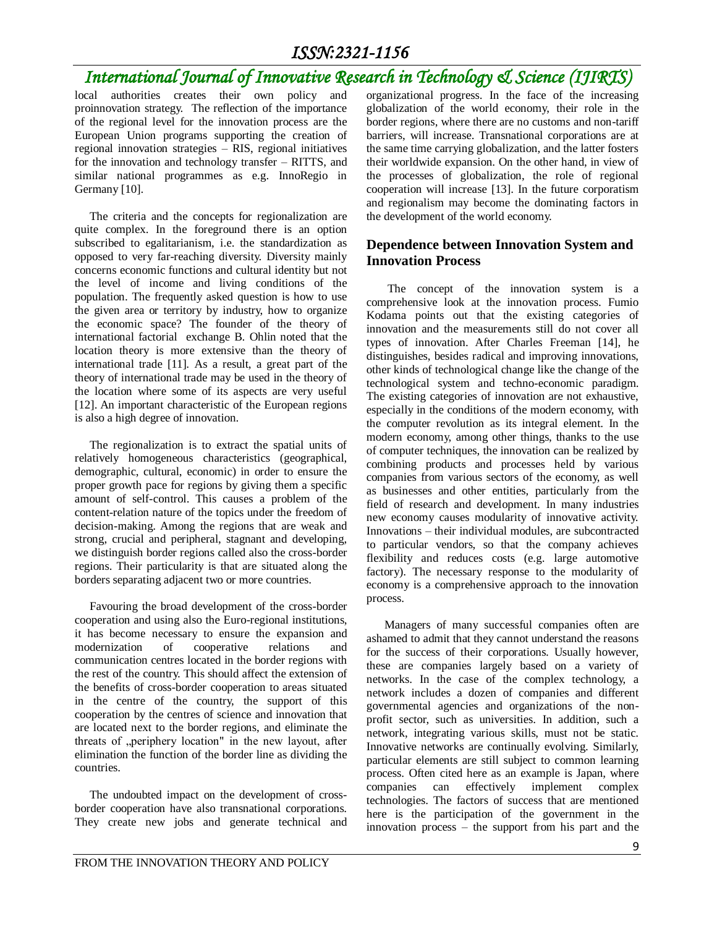# *International Journal of Innovative Research in Technology & Science (IJIRTS)*

local authorities creates their own policy and proinnovation strategy. The reflection of the importance of the regional level for the innovation process are the European Union programs supporting the creation of regional innovation strategies – RIS, regional initiatives for the innovation and technology transfer – RITTS, and similar national programmes as e.g. InnoRegio in Germany [10].

The criteria and the concepts for regionalization are quite complex. In the foreground there is an option subscribed to egalitarianism, i.e. the standardization as opposed to very far-reaching diversity. Diversity mainly concerns economic functions and cultural identity but not the level of income and living conditions of the population. The frequently asked question is how to use the given area or territory by industry, how to organize the economic space? The founder of the theory of international factorial exchange B. Ohlin noted that the location theory is more extensive than the theory of international trade [11]*.* As a result, a great part of the theory of international trade may be used in the theory of the location where some of its aspects are very useful [12]. An important characteristic of the European regions is also a high degree of innovation.

The regionalization is to extract the spatial units of relatively homogeneous characteristics (geographical, demographic, cultural, economic) in order to ensure the proper growth pace for regions by giving them a specific amount of self-control. This causes a problem of the content-relation nature of the topics under the freedom of decision-making. Among the regions that are weak and strong, crucial and peripheral, stagnant and developing, we distinguish border regions called also the cross-border regions. Their particularity is that are situated along the borders separating adjacent two or more countries.

Favouring the broad development of the cross-border cooperation and using also the Euro-regional institutions, it has become necessary to ensure the expansion and modernization of cooperative relations and communication centres located in the border regions with the rest of the country. This should affect the extension of the benefits of cross-border cooperation to areas situated in the centre of the country, the support of this cooperation by the centres of science and innovation that are located next to the border regions, and eliminate the threats of "periphery location" in the new layout, after elimination the function of the border line as dividing the countries.

The undoubted impact on the development of crossborder cooperation have also transnational corporations. They create new jobs and generate technical and organizational progress. In the face of the increasing globalization of the world economy, their role in the border regions, where there are no customs and non-tariff barriers, will increase. Transnational corporations are at the same time carrying globalization, and the latter fosters their worldwide expansion. On the other hand, in view of the processes of globalization, the role of regional cooperation will increase [13]. In the future corporatism and regionalism may become the dominating factors in the development of the world economy.

### **Dependence between Innovation System and Innovation Process**

The concept of the innovation system is a comprehensive look at the innovation process. Fumio Kodama points out that the existing categories of innovation and the measurements still do not cover all types of innovation. After Charles Freeman [14], he distinguishes, besides radical and improving innovations, other kinds of technological change like the change of the technological system and techno-economic paradigm. The existing categories of innovation are not exhaustive, especially in the conditions of the modern economy, with the computer revolution as its integral element. In the modern economy, among other things, thanks to the use of computer techniques, the innovation can be realized by combining products and processes held by various companies from various sectors of the economy, as well as businesses and other entities, particularly from the field of research and development. In many industries new economy causes modularity of innovative activity. Innovations – their individual modules, are subcontracted to particular vendors, so that the company achieves flexibility and reduces costs (e.g. large automotive factory). The necessary response to the modularity of economy is a comprehensive approach to the innovation process.

Managers of many successful companies often are ashamed to admit that they cannot understand the reasons for the success of their corporations. Usually however, these are companies largely based on a variety of networks. In the case of the complex technology, a network includes a dozen of companies and different governmental agencies and organizations of the nonprofit sector, such as universities. In addition, such a network, integrating various skills, must not be static. Innovative networks are continually evolving. Similarly, particular elements are still subject to common learning process. Often cited here as an example is Japan, where companies can effectively implement complex technologies. The factors of success that are mentioned here is the participation of the government in the innovation process – the support from his part and the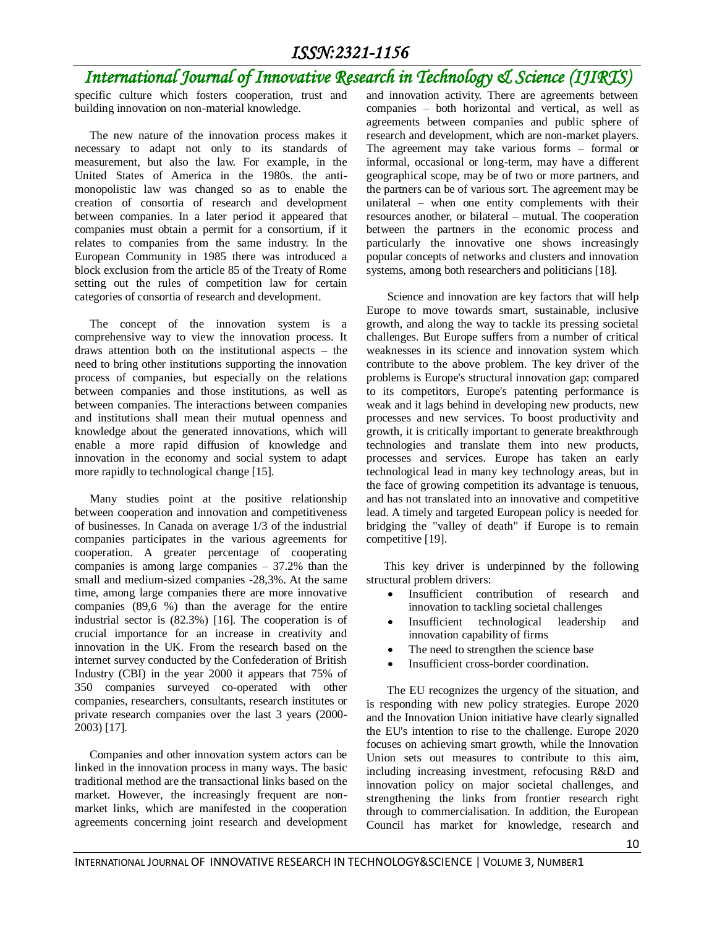# *International Journal of Innovative Research in Technology & Science (IJIRTS)*

specific culture which fosters cooperation, trust and building innovation on non-material knowledge.

The new nature of the innovation process makes it necessary to adapt not only to its standards of measurement, but also the law. For example, in the United States of America in the 1980s. the antimonopolistic law was changed so as to enable the creation of consortia of research and development between companies. In a later period it appeared that companies must obtain a permit for a consortium, if it relates to companies from the same industry. In the European Community in 1985 there was introduced a block exclusion from the article 85 of the Treaty of Rome setting out the rules of competition law for certain categories of consortia of research and development.

The concept of the innovation system is a comprehensive way to view the innovation process. It draws attention both on the institutional aspects – the need to bring other institutions supporting the innovation process of companies, but especially on the relations between companies and those institutions, as well as between companies. The interactions between companies and institutions shall mean their mutual openness and knowledge about the generated innovations, which will enable a more rapid diffusion of knowledge and innovation in the economy and social system to adapt more rapidly to technological change [15].

Many studies point at the positive relationship between cooperation and innovation and competitiveness of businesses. In Canada on average 1/3 of the industrial companies participates in the various agreements for cooperation. A greater percentage of cooperating companies is among large companies  $-37.2%$  than the small and medium-sized companies -28,3%. At the same time, among large companies there are more innovative companies (89,6 %) than the average for the entire industrial sector is (82.3%) [16]. The cooperation is of crucial importance for an increase in creativity and innovation in the UK. From the research based on the internet survey conducted by the Confederation of British Industry (CBI) in the year 2000 it appears that 75% of 350 companies surveyed co-operated with other companies, researchers, consultants, research institutes or private research companies over the last 3 years (2000- 2003) [17].

Companies and other innovation system actors can be linked in the innovation process in many ways. The basic traditional method are the transactional links based on the market. However, the increasingly frequent are nonmarket links, which are manifested in the cooperation agreements concerning joint research and development and innovation activity. There are agreements between companies – both horizontal and vertical, as well as agreements between companies and public sphere of research and development, which are non-market players. The agreement may take various forms – formal or informal, occasional or long-term, may have a different geographical scope, may be of two or more partners, and the partners can be of various sort. The agreement may be unilateral – when one entity complements with their resources another, or bilateral – mutual. The cooperation between the partners in the economic process and particularly the innovative one shows increasingly popular concepts of networks and clusters and innovation systems, among both researchers and politicians [18].

 Science and innovation are key factors that will help Europe to move towards smart, sustainable, inclusive growth, and along the way to tackle its pressing societal challenges. But Europe suffers from a number of critical weaknesses in its science and innovation system which contribute to the above problem. The key driver of the problems is Europe's structural innovation gap: compared to its competitors, Europe's patenting performance is weak and it lags behind in developing new products, new processes and new services. To boost productivity and growth, it is critically important to generate breakthrough technologies and translate them into new products, processes and services. Europe has taken an early technological lead in many key technology areas, but in the face of growing competition its advantage is tenuous, and has not translated into an innovative and competitive lead. A timely and targeted European policy is needed for bridging the "valley of death" if Europe is to remain competitive [19].

 This key driver is underpinned by the following structural problem drivers:

- Insufficient contribution of research and innovation to tackling societal challenges
- Insufficient technological leadership and innovation capability of firms
- The need to strengthen the science base
- Insufficient cross-border coordination.

The EU recognizes the urgency of the situation, and is responding with new policy strategies. Europe 2020 and the Innovation Union initiative have clearly signalled the EU's intention to rise to the challenge. Europe 2020 focuses on achieving smart growth, while the Innovation Union sets out measures to contribute to this aim, including increasing investment, refocusing R&D and innovation policy on major societal challenges, and strengthening the links from frontier research right through to commercialisation. In addition, the European Council has market for knowledge, research and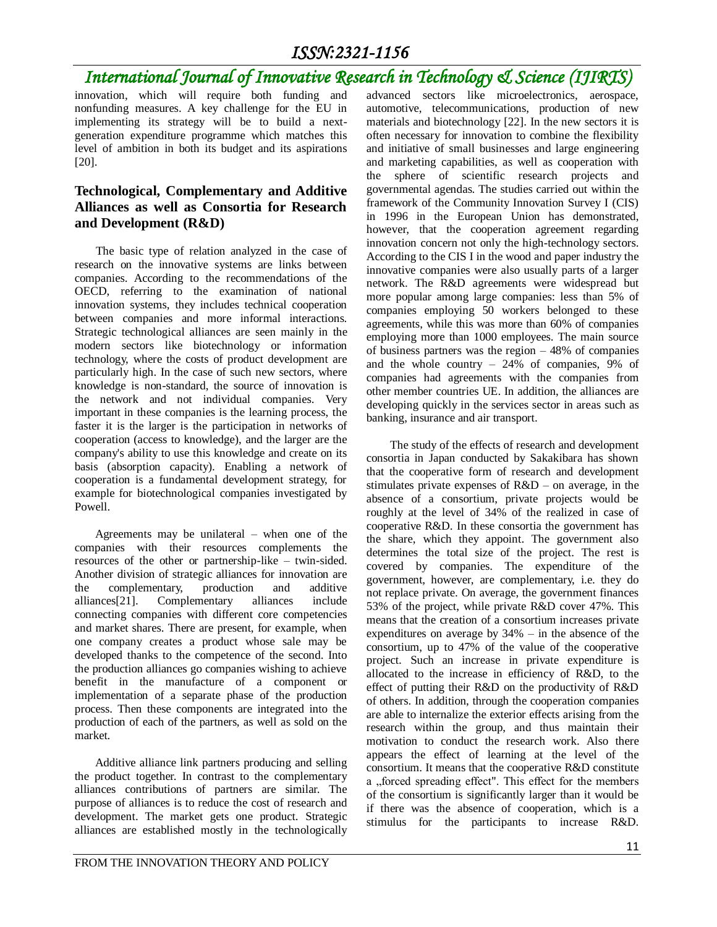# *International Journal of Innovative Research in Technology & Science (IJIRTS)*

innovation, which will require both funding and nonfunding measures. A key challenge for the EU in implementing its strategy will be to build a nextgeneration expenditure programme which matches this level of ambition in both its budget and its aspirations [20].

### **Technological, Complementary and Additive Alliances as well as Consortia for Research and Development (R&D)**

The basic type of relation analyzed in the case of research on the innovative systems are links between companies. According to the recommendations of the OECD, referring to the examination of national innovation systems, they includes technical cooperation between companies and more informal interactions. Strategic technological alliances are seen mainly in the modern sectors like biotechnology or information technology, where the costs of product development are particularly high. In the case of such new sectors, where knowledge is non-standard, the source of innovation is the network and not individual companies. Very important in these companies is the learning process, the faster it is the larger is the participation in networks of cooperation (access to knowledge), and the larger are the company's ability to use this knowledge and create on its basis (absorption capacity). Enabling a network of cooperation is a fundamental development strategy, for example for biotechnological companies investigated by Powell.

 Agreements may be unilateral – when one of the companies with their resources complements the resources of the other or partnership-like – twin-sided. Another division of strategic alliances for innovation are the complementary, production and additive alliances[21]. Complementary alliances include connecting companies with different core competencies and market shares. There are present, for example, when one company creates a product whose sale may be developed thanks to the competence of the second. Into the production alliances go companies wishing to achieve benefit in the manufacture of a component or implementation of a separate phase of the production process. Then these components are integrated into the production of each of the partners, as well as sold on the market.

 Additive alliance link partners producing and selling the product together. In contrast to the complementary alliances contributions of partners are similar. The purpose of alliances is to reduce the cost of research and development. The market gets one product. Strategic alliances are established mostly in the technologically

advanced sectors like microelectronics, aerospace, automotive, telecommunications, production of new materials and biotechnology [22]. In the new sectors it is often necessary for innovation to combine the flexibility and initiative of small businesses and large engineering and marketing capabilities, as well as cooperation with the sphere of scientific research projects and governmental agendas. The studies carried out within the framework of the Community Innovation Survey I (CIS) in 1996 in the European Union has demonstrated, however, that the cooperation agreement regarding innovation concern not only the high-technology sectors. According to the CIS I in the wood and paper industry the innovative companies were also usually parts of a larger network. The R&D agreements were widespread but more popular among large companies: less than 5% of companies employing 50 workers belonged to these agreements, while this was more than 60% of companies employing more than 1000 employees. The main source of business partners was the region  $-48\%$  of companies and the whole country –  $24%$  of companies,  $9%$  of companies had agreements with the companies from other member countries UE. In addition, the alliances are developing quickly in the services sector in areas such as banking, insurance and air transport.

 The study of the effects of research and development consortia in Japan conducted by Sakakibara has shown that the cooperative form of research and development stimulates private expenses of  $R&D$  – on average, in the absence of a consortium, private projects would be roughly at the level of 34% of the realized in case of cooperative R&D. In these consortia the government has the share, which they appoint. The government also determines the total size of the project. The rest is covered by companies. The expenditure of the government, however, are complementary, i.e. they do not replace private. On average, the government finances 53% of the project, while private R&D cover 47%. This means that the creation of a consortium increases private expenditures on average by 34% – in the absence of the consortium, up to 47% of the value of the cooperative project. Such an increase in private expenditure is allocated to the increase in efficiency of R&D, to the effect of putting their R&D on the productivity of R&D of others. In addition, through the cooperation companies are able to internalize the exterior effects arising from the research within the group, and thus maintain their motivation to conduct the research work. Also there appears the effect of learning at the level of the consortium. It means that the cooperative R&D constitute a "forced spreading effect". This effect for the members of the consortium is significantly larger than it would be if there was the absence of cooperation, which is a stimulus for the participants to increase R&D.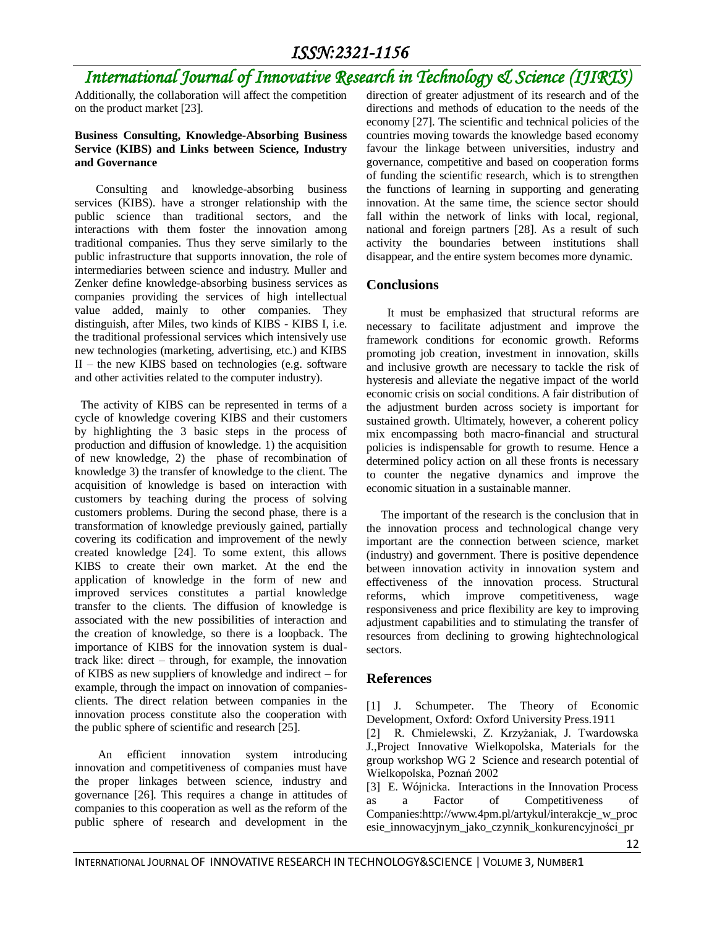# *International Journal of Innovative Research in Technology & Science (IJIRTS)*

Additionally, the collaboration will affect the competition on the product market [23].

#### **Business Consulting, Knowledge-Absorbing Business Service (KIBS) and Links between Science, Industry and Governance**

Consulting and knowledge-absorbing business services (KIBS). have a stronger relationship with the public science than traditional sectors, and the interactions with them foster the innovation among traditional companies. Thus they serve similarly to the public infrastructure that supports innovation, the role of intermediaries between science and industry. Muller and Zenker define knowledge-absorbing business services as companies providing the services of high intellectual value added, mainly to other companies. They distinguish, after Miles, two kinds of KIBS - KIBS I, i.e. the traditional professional services which intensively use new technologies (marketing, advertising, etc.) and KIBS  $II$  – the new KIBS based on technologies (e.g. software and other activities related to the computer industry).

 The activity of KIBS can be represented in terms of a cycle of knowledge covering KIBS and their customers by highlighting the 3 basic steps in the process of production and diffusion of knowledge. 1) the acquisition of new knowledge, 2) the phase of recombination of knowledge 3) the transfer of knowledge to the client. The acquisition of knowledge is based on interaction with customers by teaching during the process of solving customers problems. During the second phase, there is a transformation of knowledge previously gained, partially covering its codification and improvement of the newly created knowledge [24]. To some extent, this allows KIBS to create their own market. At the end the application of knowledge in the form of new and improved services constitutes a partial knowledge transfer to the clients. The diffusion of knowledge is associated with the new possibilities of interaction and the creation of knowledge, so there is a loopback. The importance of KIBS for the innovation system is dualtrack like: direct – through, for example, the innovation of KIBS as new suppliers of knowledge and indirect – for example, through the impact on innovation of companiesclients. The direct relation between companies in the innovation process constitute also the cooperation with the public sphere of scientific and research [25].

 An efficient innovation system introducing innovation and competitiveness of companies must have the proper linkages between science, industry and governance [26]. This requires a change in attitudes of companies to this cooperation as well as the reform of the public sphere of research and development in the

direction of greater adjustment of its research and of the directions and methods of education to the needs of the economy [27]. The scientific and technical policies of the countries moving towards the knowledge based economy favour the linkage between universities, industry and governance, competitive and based on cooperation forms of funding the scientific research, which is to strengthen the functions of learning in supporting and generating innovation. At the same time, the science sector should fall within the network of links with local, regional, national and foreign partners [28]. As a result of such activity the boundaries between institutions shall disappear, and the entire system becomes more dynamic.

#### **Conclusions**

 It must be emphasized that structural reforms are necessary to facilitate adjustment and improve the framework conditions for economic growth. Reforms promoting job creation, investment in innovation, skills and inclusive growth are necessary to tackle the risk of hysteresis and alleviate the negative impact of the world economic crisis on social conditions. A fair distribution of the adjustment burden across society is important for sustained growth. Ultimately, however, a coherent policy mix encompassing both macro-financial and structural policies is indispensable for growth to resume. Hence a determined policy action on all these fronts is necessary to counter the negative dynamics and improve the economic situation in a sustainable manner.

 The important of the research is the conclusion that in the innovation process and technological change very important are the connection between science, market (industry) and government. There is positive dependence between innovation activity in innovation system and effectiveness of the innovation process. Structural reforms, which improve competitiveness, wage responsiveness and price flexibility are key to improving adjustment capabilities and to stimulating the transfer of resources from declining to growing hightechnological sectors.

#### **References**

[1] J. Schumpeter. The Theory of Economic Development, Oxford: Oxford University Press.1911

[2] R. Chmielewski, Z. Krzyżaniak, J. Twardowska J.,Project Innovative Wielkopolska, Materials for the group workshop WG 2 Science and research potential of Wielkopolska, Poznań 2002

[3] E. Wójnicka. Interactions in the Innovation Process as a Factor of Competitiveness of Companies:http://www.4pm.pl/artykul/interakcje\_w\_proc esie\_innowacyjnym\_jako\_czynnik\_konkurencyjności\_pr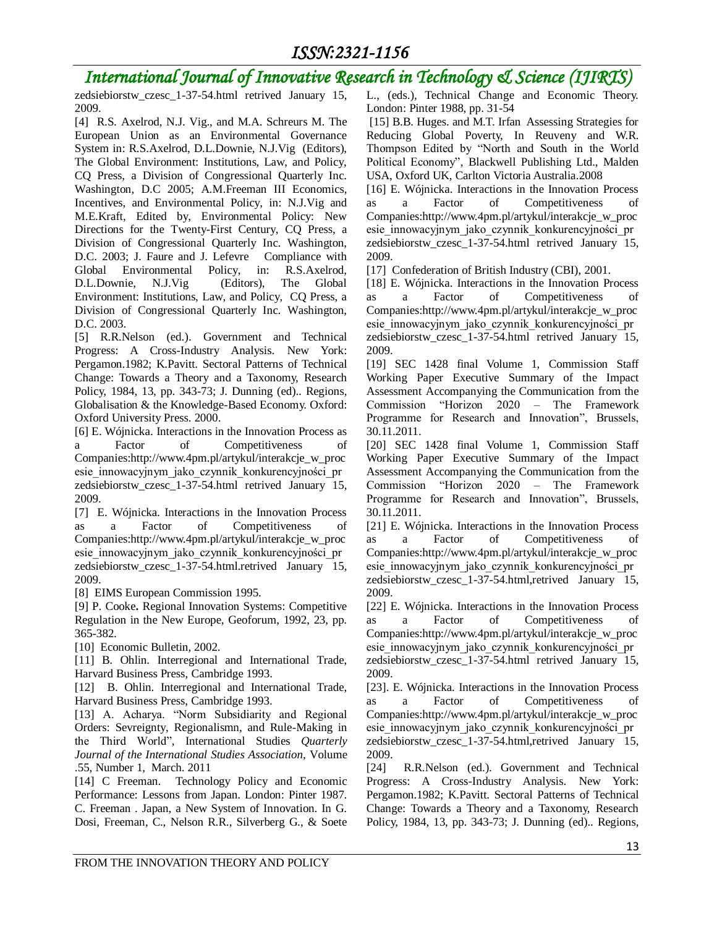# *International Journal of Innovative Research in Technology & Science (IJIRTS)*

zedsiebiorstw\_czesc\_1-37-54.html retrived January 15, 2009.

[4] R.S. Axelrod, N.J. Vig., and M.A. Schreurs M. The European Union as an Environmental Governance System in: R.S.Axelrod, D.L.Downie, N.J.Vig (Editors), The Global Environment: Institutions, Law, and Policy, CQ Press, a Division of Congressional Quarterly Inc. Washington, D.C 2005; A.M.Freeman III Economics, Incentives, and Environmental Policy, in: N.J.Vig and M.E.Kraft, Edited by, Environmental Policy: New Directions for the Twenty-First Century, CQ Press, a Division of Congressional Quarterly Inc. Washington, D.C. 2003; J. Faure and J. Lefevre Compliance with Global Environmental Policy, in: R.S.Axelrod, D.L.Downie, N.J.Vig (Editors), The Global Environment: Institutions, Law, and Policy, CQ Press, a Division of Congressional Quarterly Inc. Washington, D.C. 2003.

[5] R.R.Nelson (ed.). Government and Technical Progress: A Cross-Industry Analysis. New York: Pergamon.1982; K.Pavitt. Sectoral Patterns of Technical Change: Towards a Theory and a Taxonomy, Research Policy, 1984, 13, pp. 343-73; J. Dunning (ed).. Regions, Globalisation & the Knowledge-Based Economy. Oxford: Oxford University Press. 2000.

[6] E. Wójnicka. Interactions in the Innovation Process as a Factor of Competitiveness of Companies:http://www.4pm.pl/artykul/interakcje\_w\_proc esie innowacyjnym jako czynnik konkurencyjności pr zedsiebiorstw\_czesc\_1-37-54.html retrived January 15, 2009.

[7] E. Wójnicka. Interactions in the Innovation Process as a Factor of Competitiveness of Companies:http://www.4pm.pl/artykul/interakcje\_w\_proc esie innowacyjnym jako czynnik konkurencyjności pr zedsiebiorstw\_czesc\_1-37-54.html.retrived January 15, 2009.

[8] EIMS European Commission 1995.

[9] P. Cooke**.** Regional Innovation Systems: Competitive Regulation in the New Europe, Geoforum, 1992, 23, pp. 365-382.

[10] Economic Bulletin, 2002.

[11] B. Ohlin. Interregional and International Trade, Harvard Business Press, Cambridge 1993.

[12] B. Ohlin. Interregional and International Trade, Harvard Business Press, Cambridge 1993.

[13] A. Acharya. "Norm Subsidiarity and Regional Orders: Sevreignty, Regionalismn, and Rule-Making in the Third World"*,* International Studies *Quarterly Journal of the International Studies Association*, Volume .55, Number 1, March. 2011

[14] C Freeman. Technology Policy and Economic Performance: Lessons from Japan. London: Pinter 1987. C. Freeman . Japan, a New System of Innovation. In G. Dosi, Freeman, C., Nelson R.R., Silverberg G., & Soete L., (eds.), Technical Change and Economic Theory. London: Pinter 1988, pp. 31-54

[15] B.B. Huges. and M.T. Irfan Assessing Strategies for Reducing Global Poverty, In Reuveny and W.R. Thompson Edited by "North and South in the World Political Economy"*,* Blackwell Publishing Ltd., Malden USA, Oxford UK, Carlton Victoria Australia.2008

[16] E. Wójnicka. Interactions in the Innovation Process as a Factor of Competitiveness of Companies:http://www.4pm.pl/artykul/interakcje\_w\_proc esie innowacyjnym jako czynnik konkurencyjności pr zedsiebiorstw\_czesc\_1-37-54.html retrived January 15, 2009.

[17] Confederation of British Industry (CBI), 2001.

[18] E. Wójnicka. Interactions in the Innovation Process as a Factor of Competitiveness of Companies:http://www.4pm.pl/artykul/interakcje\_w\_proc esie\_innowacyjnym\_jako\_czynnik\_konkurencyjności\_pr zedsiebiorstw\_czesc\_1-37-54.html retrived January 15, 2009.

[19] SEC 1428 final Volume 1, Commission Staff Working Paper Executive Summary of the Impact Assessment Accompanying the Communication from the Commission "Horizon 2020 – The Framework Programme for Research and Innovation", Brussels, 30.11.2011.

[20] SEC 1428 final Volume 1, Commission Staff Working Paper Executive Summary of the Impact Assessment Accompanying the Communication from the Commission "Horizon 2020 – The Framework Programme for Research and Innovation", Brussels, 30.11.2011.

[21] E. Wójnicka. Interactions in the Innovation Process as a Factor of Competitiveness of Companies:http://www.4pm.pl/artykul/interakcje\_w\_proc esie\_innowacyjnym\_jako\_czynnik\_konkurencyjności\_pr zedsiebiorstw\_czesc\_1-37-54.html,retrived January 15, 2009.

[22] E. Wójnicka. Interactions in the Innovation Process as a Factor of Competitiveness of Companies:http://www.4pm.pl/artykul/interakcje\_w\_proc esie innowacyjnym jako czynnik konkurencyjności pr zedsiebiorstw\_czesc\_1-37-54.html retrived January 15, 2009.

[23]. E. Wójnicka. Interactions in the Innovation Process as a Factor of Competitiveness of Companies:http://www.4pm.pl/artykul/interakcje\_w\_proc esie\_innowacyjnym\_jako\_czynnik\_konkurencyjności\_pr zedsiebiorstw\_czesc\_1-37-54.html,retrived January 15, 2009.

[24] R.R.Nelson (ed.). Government and Technical Progress: A Cross-Industry Analysis. New York: Pergamon.1982; K.Pavitt. Sectoral Patterns of Technical Change: Towards a Theory and a Taxonomy, Research Policy, 1984, 13, pp. 343-73; J. Dunning (ed).. Regions,